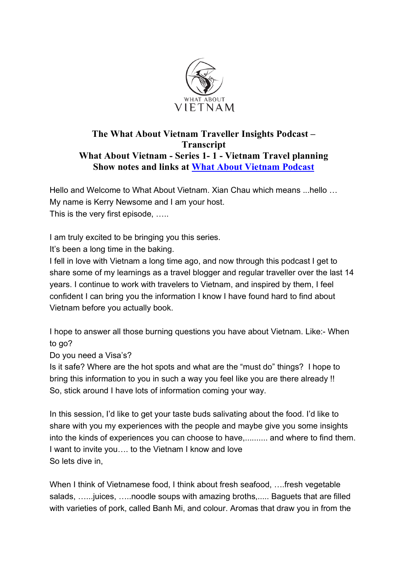

## **The What About Vietnam Traveller Insights Podcast – Transcript What About Vietnam - Series 1- 1 - Vietnam Travel planning Show notes and links at What About Vietnam Podcast**

Hello and Welcome to What About Vietnam. Xian Chau which means ...hello … My name is Kerry Newsome and I am your host. This is the very first episode, …..

I am truly excited to be bringing you this series.

It's been a long time in the baking.

I fell in love with Vietnam a long time ago, and now through this podcast I get to share some of my learnings as a travel blogger and regular traveller over the last 14 years. I continue to work with travelers to Vietnam, and inspired by them, I feel confident I can bring you the information I know I have found hard to find about Vietnam before you actually book.

I hope to answer all those burning questions you have about Vietnam. Like:- When to go?

Do you need a Visa's?

Is it safe? Where are the hot spots and what are the "must do" things? I hope to bring this information to you in such a way you feel like you are there already !! So, stick around I have lots of information coming your way.

In this session, I'd like to get your taste buds salivating about the food. I'd like to share with you my experiences with the people and maybe give you some insights into the kinds of experiences you can choose to have,.......... and where to find them. I want to invite you…. to the Vietnam I know and love So lets dive in,

When I think of Vietnamese food, I think about fresh seafood, ….fresh vegetable salads, …...juices, …..noodle soups with amazing broths,..... Baguets that are filled with varieties of pork, called Banh Mi, and colour. Aromas that draw you in from the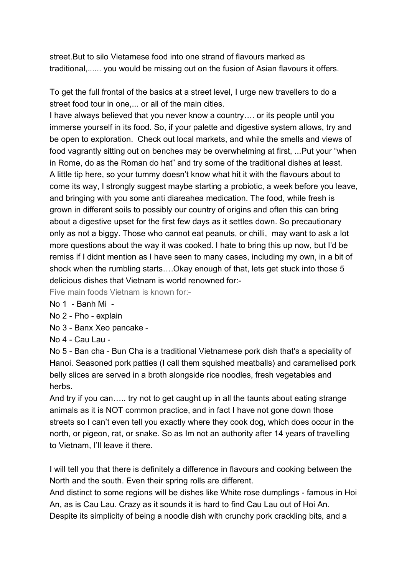street.But to silo Vietamese food into one strand of flavours marked as traditional,...... you would be missing out on the fusion of Asian flavours it offers.

To get the full frontal of the basics at a street level, I urge new travellers to do a street food tour in one,... or all of the main cities.

I have always believed that you never know a country…. or its people until you immerse yourself in its food. So, if your palette and digestive system allows, try and be open to exploration. Check out local markets, and while the smells and views of food vagrantly sitting out on benches may be overwhelming at first, ...Put your "when in Rome, do as the Roman do hat" and try some of the traditional dishes at least. A little tip here, so your tummy doesn't know what hit it with the flavours about to come its way, I strongly suggest maybe starting a probiotic, a week before you leave, and bringing with you some anti diareahea medication. The food, while fresh is grown in different soils to possibly our country of origins and often this can bring about a digestive upset for the first few days as it settles down. So precautionary only as not a biggy. Those who cannot eat peanuts, or chilli, may want to ask a lot more questions about the way it was cooked. I hate to bring this up now, but I'd be remiss if I didnt mention as I have seen to many cases, including my own, in a bit of shock when the rumbling starts….Okay enough of that, lets get stuck into those 5 delicious dishes that Vietnam is world renowned for:-

Five main foods Vietnam is known for:-

No 1 - Banh Mi -

No 2 - Pho - explain

No 3 - Banx Xeo pancake -

No 4 - Cau Lau -

No 5 - Ban cha - Bun Cha is a traditional Vietnamese pork dish that's a speciality of Hanoi. Seasoned pork patties (I call them squished meatballs) and caramelised pork belly slices are served in a broth alongside rice noodles, fresh vegetables and herbs.

And try if you can….. try not to get caught up in all the taunts about eating strange animals as it is NOT common practice, and in fact I have not gone down those streets so I can't even tell you exactly where they cook dog, which does occur in the north, or pigeon, rat, or snake. So as Im not an authority after 14 years of travelling to Vietnam, I'll leave it there.

I will tell you that there is definitely a difference in flavours and cooking between the North and the south. Even their spring rolls are different.

And distinct to some regions will be dishes like White rose dumplings - famous in Hoi An, as is Cau Lau. Crazy as it sounds it is hard to find Cau Lau out of Hoi An. Despite its simplicity of being a noodle dish with crunchy pork crackling bits, and a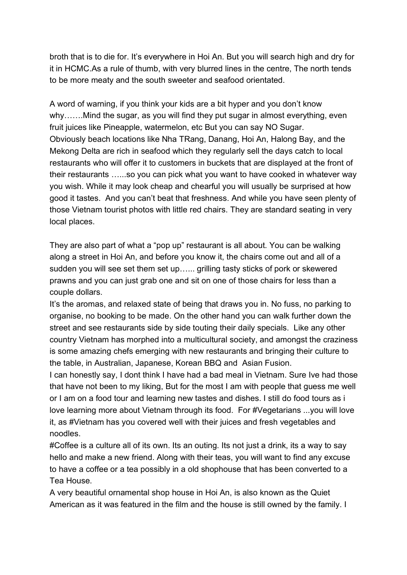broth that is to die for. It's everywhere in Hoi An. But you will search high and dry for it in HCMC.As a rule of thumb, with very blurred lines in the centre, The north tends to be more meaty and the south sweeter and seafood orientated.

A word of warning, if you think your kids are a bit hyper and you don't know why…….Mind the sugar, as you will find they put sugar in almost everything, even fruit juices like Pineapple, watermelon, etc But you can say NO Sugar. Obviously beach locations like Nha TRang, Danang, Hoi An, Halong Bay, and the Mekong Delta are rich in seafood which they regularly sell the days catch to local restaurants who will offer it to customers in buckets that are displayed at the front of their restaurants …...so you can pick what you want to have cooked in whatever way you wish. While it may look cheap and chearful you will usually be surprised at how good it tastes. And you can't beat that freshness. And while you have seen plenty of those Vietnam tourist photos with little red chairs. They are standard seating in very local places.

They are also part of what a "pop up" restaurant is all about. You can be walking along a street in Hoi An, and before you know it, the chairs come out and all of a sudden you will see set them set up…... grilling tasty sticks of pork or skewered prawns and you can just grab one and sit on one of those chairs for less than a couple dollars.

It's the aromas, and relaxed state of being that draws you in. No fuss, no parking to organise, no booking to be made. On the other hand you can walk further down the street and see restaurants side by side touting their daily specials. Like any other country Vietnam has morphed into a multicultural society, and amongst the craziness is some amazing chefs emerging with new restaurants and bringing their culture to the table, in Australian, Japanese, Korean BBQ and Asian Fusion.

I can honestly say, I dont think I have had a bad meal in Vietnam. Sure Ive had those that have not been to my liking, But for the most I am with people that guess me well or I am on a food tour and learning new tastes and dishes. I still do food tours as i love learning more about Vietnam through its food. For #Vegetarians ...you will love it, as #Vietnam has you covered well with their juices and fresh vegetables and noodles.

#Coffee is a culture all of its own. Its an outing. Its not just a drink, its a way to say hello and make a new friend. Along with their teas, you will want to find any excuse to have a coffee or a tea possibly in a old shophouse that has been converted to a Tea House.

A very beautiful ornamental shop house in Hoi An, is also known as the Quiet American as it was featured in the film and the house is still owned by the family. I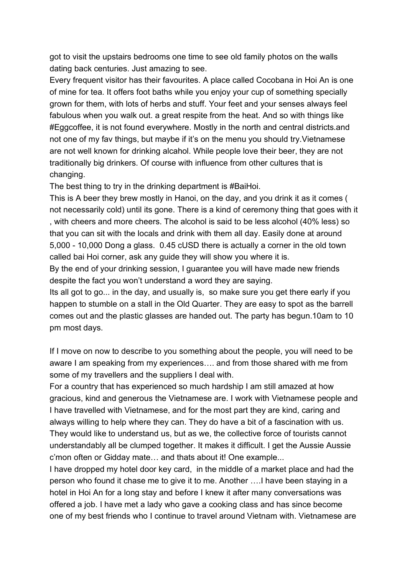got to visit the upstairs bedrooms one time to see old family photos on the walls dating back centuries. Just amazing to see.

Every frequent visitor has their favourites. A place called Cocobana in Hoi An is one of mine for tea. It offers foot baths while you enjoy your cup of something specially grown for them, with lots of herbs and stuff. Your feet and your senses always feel fabulous when you walk out. a great respite from the heat. And so with things like #Eggcoffee, it is not found everywhere. Mostly in the north and central districts.and not one of my fav things, but maybe if it's on the menu you should try.Vietnamese are not well known for drinking alcahol. While people love their beer, they are not traditionally big drinkers. Of course with influence from other cultures that is changing.

The best thing to try in the drinking department is #BaiHoi.

This is A beer they brew mostly in Hanoi, on the day, and you drink it as it comes ( not necessarily cold) until its gone. There is a kind of ceremony thing that goes with it , with cheers and more cheers. The alcohol is said to be less alcohol (40% less) so that you can sit with the locals and drink with them all day. Easily done at around 5,000 - 10,000 Dong a glass. 0.45 cUSD there is actually a corner in the old town called bai Hoi corner, ask any guide they will show you where it is.

By the end of your drinking session, I guarantee you will have made new friends despite the fact you won't understand a word they are saying.

Its all got to go... in the day, and usually is, so make sure you get there early if you happen to stumble on a stall in the Old Quarter. They are easy to spot as the barrell comes out and the plastic glasses are handed out. The party has begun.10am to 10 pm most days.

If I move on now to describe to you something about the people, you will need to be aware I am speaking from my experiences…. and from those shared with me from some of my travellers and the suppliers I deal with.

For a country that has experienced so much hardship I am still amazed at how gracious, kind and generous the Vietnamese are. I work with Vietnamese people and I have travelled with Vietnamese, and for the most part they are kind, caring and always willing to help where they can. They do have a bit of a fascination with us. They would like to understand us, but as we, the collective force of tourists cannot understandably all be clumped together. It makes it difficult. I get the Aussie Aussie c'mon often or Gidday mate… and thats about it! One example...

I have dropped my hotel door key card, in the middle of a market place and had the person who found it chase me to give it to me. Another ….I have been staying in a hotel in Hoi An for a long stay and before I knew it after many conversations was offered a job. I have met a lady who gave a cooking class and has since become one of my best friends who I continue to travel around Vietnam with. Vietnamese are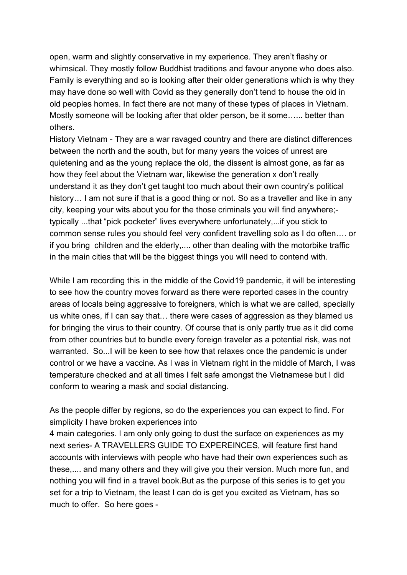open, warm and slightly conservative in my experience. They aren't flashy or whimsical. They mostly follow Buddhist traditions and favour anyone who does also. Family is everything and so is looking after their older generations which is why they may have done so well with Covid as they generally don't tend to house the old in old peoples homes. In fact there are not many of these types of places in Vietnam. Mostly someone will be looking after that older person, be it some…... better than others.

History Vietnam - They are a war ravaged country and there are distinct differences between the north and the south, but for many years the voices of unrest are quietening and as the young replace the old, the dissent is almost gone, as far as how they feel about the Vietnam war, likewise the generation x don't really understand it as they don't get taught too much about their own country's political history... I am not sure if that is a good thing or not. So as a traveller and like in any city, keeping your wits about you for the those criminals you will find anywhere; typically ...that "pick pocketer" lives everywhere unfortunately,...if you stick to common sense rules you should feel very confident travelling solo as I do often…. or if you bring children and the elderly,.... other than dealing with the motorbike traffic in the main cities that will be the biggest things you will need to contend with.

While I am recording this in the middle of the Covid19 pandemic, it will be interesting to see how the country moves forward as there were reported cases in the country areas of locals being aggressive to foreigners, which is what we are called, specially us white ones, if I can say that… there were cases of aggression as they blamed us for bringing the virus to their country. Of course that is only partly true as it did come from other countries but to bundle every foreign traveler as a potential risk, was not warranted. So...I will be keen to see how that relaxes once the pandemic is under control or we have a vaccine. As I was in Vietnam right in the middle of March, I was temperature checked and at all times I felt safe amongst the Vietnamese but I did conform to wearing a mask and social distancing.

As the people differ by regions, so do the experiences you can expect to find. For simplicity I have broken experiences into

4 main categories. I am only only going to dust the surface on experiences as my next series- A TRAVELLERS GUIDE TO EXPEREINCES, will feature first hand accounts with interviews with people who have had their own experiences such as these,.... and many others and they will give you their version. Much more fun, and nothing you will find in a travel book.But as the purpose of this series is to get you set for a trip to Vietnam, the least I can do is get you excited as Vietnam, has so much to offer. So here goes -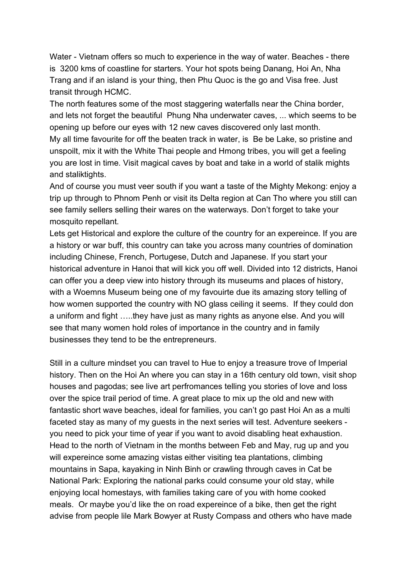Water - Vietnam offers so much to experience in the way of water. Beaches - there is 3200 kms of coastline for starters. Your hot spots being Danang, Hoi An, Nha Trang and if an island is your thing, then Phu Quoc is the go and Visa free. Just transit through HCMC.

The north features some of the most staggering waterfalls near the China border, and lets not forget the beautiful Phung Nha underwater caves, ... which seems to be opening up before our eyes with 12 new caves discovered only last month. My all time favourite for off the beaten track in water, is Be be Lake, so pristine and unspoilt, mix it with the White Thai people and Hmong tribes, you will get a feeling you are lost in time. Visit magical caves by boat and take in a world of stalik mights and staliktights.

And of course you must veer south if you want a taste of the Mighty Mekong: enjoy a trip up through to Phnom Penh or visit its Delta region at Can Tho where you still can see family sellers selling their wares on the waterways. Don't forget to take your mosquito repellant.

Lets get Historical and explore the culture of the country for an expereince. If you are a history or war buff, this country can take you across many countries of domination including Chinese, French, Portugese, Dutch and Japanese. If you start your historical adventure in Hanoi that will kick you off well. Divided into 12 districts, Hanoi can offer you a deep view into history through its museums and places of history, with a Woemns Museum being one of my favouirte due its amazing story telling of how women supported the country with NO glass ceiling it seems. If they could don a uniform and fight …..they have just as many rights as anyone else. And you will see that many women hold roles of importance in the country and in family businesses they tend to be the entrepreneurs.

Still in a culture mindset you can travel to Hue to enjoy a treasure trove of Imperial history. Then on the Hoi An where you can stay in a 16th century old town, visit shop houses and pagodas; see live art perfromances telling you stories of love and loss over the spice trail period of time. A great place to mix up the old and new with fantastic short wave beaches, ideal for families, you can't go past Hoi An as a multi faceted stay as many of my guests in the next series will test. Adventure seekers you need to pick your time of year if you want to avoid disabling heat exhaustion. Head to the north of Vietnam in the months between Feb and May, rug up and you will expereince some amazing vistas either visiting tea plantations, climbing mountains in Sapa, kayaking in Ninh Binh or crawling through caves in Cat be National Park: Exploring the national parks could consume your old stay, while enjoying local homestays, with families taking care of you with home cooked meals. Or maybe you'd like the on road expereince of a bike, then get the right advise from people lile Mark Bowyer at Rusty Compass and others who have made